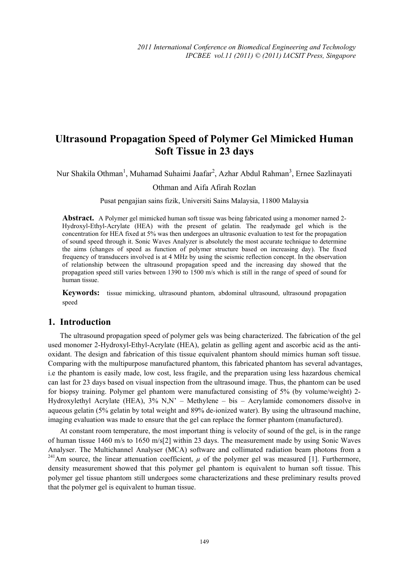# **Ultrasound Propagation Speed of Polymer Gel Mimicked Human Soft Tissue in 23 days**

Nur Shakila Othman<sup>1</sup>, Muhamad Suhaimi Jaafar<sup>2</sup>, Azhar Abdul Rahman<sup>3</sup>, Ernee Sazlinayati

#### Othman and Aifa Afirah Rozlan

Pusat pengajian sains fizik, Universiti Sains Malaysia, 11800 Malaysia

**Abstract.** A Polymer gel mimicked human soft tissue was being fabricated using a monomer named 2-Hydroxyl-Ethyl-Acrylate (HEA) with the present of gelatin. The readymade gel which is the concentration for HEA fixed at 5% was then undergoes an ultrasonic evaluation to test for the propagation of sound speed through it. Sonic Waves Analyzer is absolutely the most accurate technique to determine the aims (changes of speed as function of polymer structure based on increasing day). The fixed frequency of transducers involved is at 4 MHz by using the seismic reflection concept. In the observation of relationship between the ultrasound propagation speed and the increasing day showed that the propagation speed still varies between 1390 to 1500 m/s which is still in the range of speed of sound for human tissue.

**Keywords:** tissue mimicking, ultrasound phantom, abdominal ultrasound, ultrasound propagation speed

### **1. Introduction**

The ultrasound propagation speed of polymer gels was being characterized. The fabrication of the gel used monomer 2-Hydroxyl-Ethyl-Acrylate (HEA), gelatin as gelling agent and ascorbic acid as the antioxidant. The design and fabrication of this tissue equivalent phantom should mimics human soft tissue. Comparing with the multipurpose manufactured phantom, this fabricated phantom has several advantages, i.e the phantom is easily made, low cost, less fragile, and the preparation using less hazardous chemical can last for 23 days based on visual inspection from the ultrasound image. Thus, the phantom can be used for biopsy training. Polymer gel phantom were manufactured consisting of 5% (by volume/weight) 2- Hydroxylethyl Acrylate (HEA), 3% N,N' – Methylene – bis – Acrylamide comonomers dissolve in aqueous gelatin (5% gelatin by total weight and 89% de-ionized water). By using the ultrasound machine, imaging evaluation was made to ensure that the gel can replace the former phantom (manufactured).

At constant room temperature, the most important thing is velocity of sound of the gel, is in the range of human tissue 1460 m/s to 1650 m/s[2] within 23 days. The measurement made by using Sonic Waves Analyser. The Multichannel Analyser (MCA) software and collimated radiation beam photons from a <sup>241</sup>Am source, the linear attenuation coefficient,  $\mu$  of the polymer gel was measured [1]. Furthermore, density measurement showed that this polymer gel phantom is equivalent to human soft tissue. This polymer gel tissue phantom still undergoes some characterizations and these preliminary results proved that the polymer gel is equivalent to human tissue.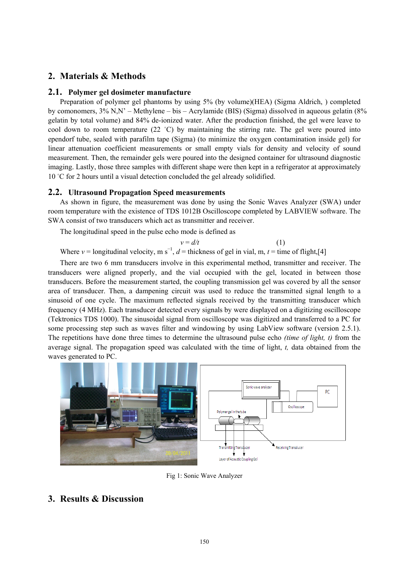## **2. Materials & Methods**

#### **2.1. Polymer gel dosimeter manufacture**

Preparation of polymer gel phantoms by using 5% (by volume)(HEA) (Sigma Aldrich, ) completed by comonomers, 3% N,N' – Methylene – bis – Acrylamide (BIS) (Sigma) dissolved in aqueous gelatin (8% gelatin by total volume) and 84% de-ionized water. After the production finished, the gel were leave to cool down to room temperature (22 °C) by maintaining the stirring rate. The gel were poured into ependorf tube, sealed with parafilm tape (Sigma) (to minimize the oxygen contamination inside gel) for linear attenuation coefficient measurements or small empty vials for density and velocity of sound measurement. Then, the remainder gels were poured into the designed container for ultrasound diagnostic imaging. Lastly, those three samples with different shape were then kept in a refrigerator at approximately 10 °C for 2 hours until a visual detection concluded the gel already solidified.

#### **2.2. Ultrasound Propagation Speed measurements**

As shown in figure, the measurement was done by using the Sonic Waves Analyzer (SWA) under room temperature with the existence of TDS 1012B Oscilloscope completed by LABVIEW software. The SWA consist of two transducers which act as transmitter and receiver.

The longitudinal speed in the pulse echo mode is defined as

$$
v = d/t \tag{1}
$$

Where  $v =$  longitudinal velocity, m s<sup>-1</sup>,  $d =$  thickness of gel in vial, m,  $t =$  time of flight,[4]

There are two 6 mm transducers involve in this experimental method, transmitter and receiver. The transducers were aligned properly, and the vial occupied with the gel, located in between those transducers. Before the measurement started, the coupling transmission gel was covered by all the sensor area of transducer. Then, a dampening circuit was used to reduce the transmitted signal length to a sinusoid of one cycle. The maximum reflected signals received by the transmitting transducer which frequency (4 MHz). Each transducer detected every signals by were displayed on a digitizing oscilloscope (Tektronics TDS 1000). The sinusoidal signal from oscilloscope was digitized and transferred to a PC for some processing step such as waves filter and windowing by using LabView software (version 2.5.1). The repetitions have done three times to determine the ultrasound pulse echo *(time of light, t)* from the average signal. The propagation speed was calculated with the time of light, *t,* data obtained from the waves generated to PC.



Fig 1: Sonic Wave Analyzer

# **3. Results & Discussion**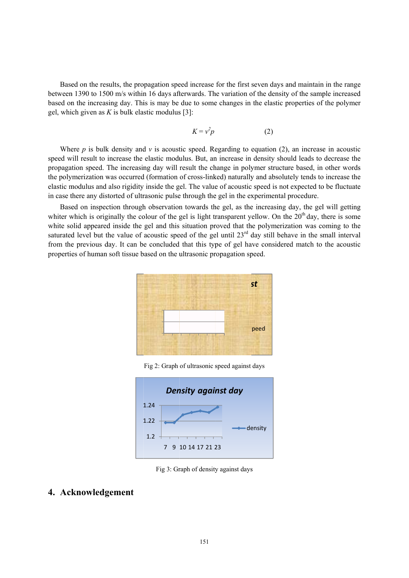Based on the results, the propagation speed increase for the first seven days and maintain in the range between 1390 to 1500 m/s within 16 days afterwards. The variation of the density of the sample increased based on the increasing day. This is may be due to some changes in the elastic properties of the polymer gel, which given as  $K$  is bulk elastic modulus [3]:

$$
K = v^2 p \tag{2}
$$

Where  $p$  is bulk density and  $v$  is acoustic speed. Regarding to equation (2), an increase in acoustic speed will result to increase the elastic modulus. But, an increase in density should leads to decrease the propagation speed. The increasing day will result the change in polymer structure based, in other words the polymerization was occurred (formation of cross-linked) naturally and absolutely tends to increase the elastic modulus and also rigidity inside the gel. The value of acoustic speed is not expected to be fluctuate in case there any distorted of ultrasonic pulse through the gel in the experimental procedure. edrceseegeelc

Based on inspection through observation towards the gel, as the increasing day, the gel will getting whiter which is originally the colour of the gel is light transparent yellow. On the  $20<sup>th</sup>$  day, there is some white solid appeared inside the gel and this situation proved that the polymerization was coming to the saturated level but the value of acoustic speed of the gel until  $23<sup>rd</sup>$  day still behave in the small interval from the previous day. It can be concluded that this type of gel have considered match to the acoustic properties of human soft tissue based on the ultrasonic propagation speed.



Fig 2: Graph of ultrasonic speed against days



Fig 3: Graph of density against days

### **4. Ack knowledg gement**